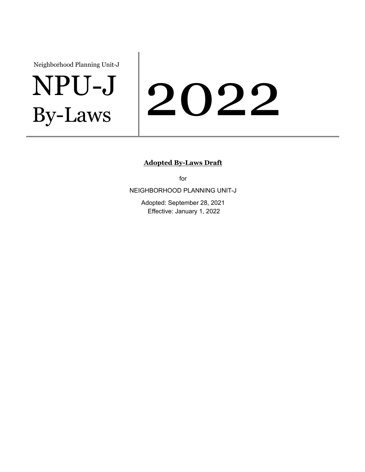Neighborhood Planning Unit-J



# $BFU-J$  2022<br>By-Laws

### **Adopted By-Laws Draft**

for

NEIGHBORHOOD PLANNING UNIT-J

Adopted: September 28, 2021 Effective: January 1, 2022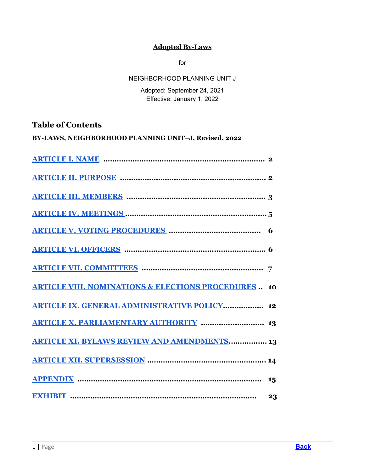## **Adopted By-Laws**

for

NEIGHBORHOOD PLANNING UNIT-J

Adopted: September 24, 2021 Effective: January 1, 2022

<span id="page-1-0"></span>

| <b>Table of Contents</b> |  |
|--------------------------|--|
|--------------------------|--|

**BY-LAWS, NEIGHBORHOOD PLANNING UNIT–J, Revised, 2022**

| <b>ARTICLE VIII. NOMINATIONS &amp; ELECTIONS PROCEDURES  10</b> |    |
|-----------------------------------------------------------------|----|
| <b>ARTICLE IX. GENERAL ADMINISTRATIVE POLICY 12</b>             |    |
| <b>ARTICLE X. PARLIAMENTARY AUTHORITY  13</b>                   |    |
| <b>ARTICLE XI. BYLAWS REVIEW AND AMENDMENTS 13</b>              |    |
|                                                                 |    |
|                                                                 |    |
|                                                                 | 23 |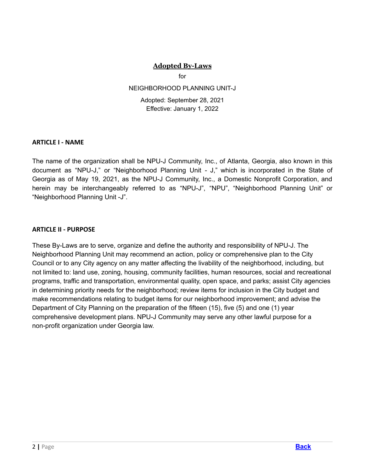### **Adopted By-Laws**

for

### NEIGHBORHOOD PLANNING UNIT-J

Adopted: September 28, 2021 Effective: January 1, 2022

### <span id="page-2-0"></span>**ARTICLE I - NAME**

The name of the organization shall be NPU-J Community, Inc., of Atlanta, Georgia, also known in this document as "NPU-J," or "Neighborhood Planning Unit - J," which is incorporated in the State of Georgia as of May 19, 2021, as the NPU-J Community, Inc., a Domestic Nonprofit Corporation, and herein may be interchangeably referred to as "NPU-J", "NPU", "Neighborhood Planning Unit" or "Neighborhood Planning Unit -J".

### <span id="page-2-1"></span>**ARTICLE II - PURPOSE**

These By-Laws are to serve, organize and define the authority and responsibility of NPU-J. The Neighborhood Planning Unit may recommend an action, policy or comprehensive plan to the City Council or to any City agency on any matter affecting the livability of the neighborhood, including, but not limited to: land use, zoning, housing, community facilities, human resources, social and recreational programs, traffic and transportation, environmental quality, open space, and parks; assist City agencies in determining priority needs for the neighborhood; review items for inclusion in the City budget and make recommendations relating to budget items for our neighborhood improvement; and advise the Department of City Planning on the preparation of the fifteen (15), five (5) and one (1) year comprehensive development plans. NPU-J Community may serve any other lawful purpose for a non-profit organization under Georgia law.

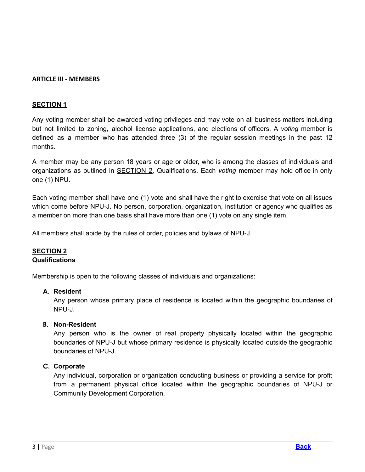### <span id="page-3-0"></span>**ARTICLE III - MEMBERS**

### **SECTION 1**

Any voting member shall be awarded voting privileges and may vote on all business matters including but not limited to zoning, alcohol license applications, and elections of officers. A *voting* member is defined as a member who has attended three (3) of the regular session meetings in the past 12 months.

A member may be any person 18 years or age or older, who is among the classes of individuals and organizations as outlined in SECTION 2, Qualifications. Each *voting* member may hold office in only one (1) NPU.

Each voting member shall have one (1) vote and shall have the right to exercise that vote on all issues which come before NPU-J. No person, corporation, organization, institution or agency who qualifies as a member on more than one basis shall have more than one (1) vote on any single item.

All members shall abide by the rules of order, policies and bylaws of NPU-J.

# **SECTION 2**

### **Qualifications**

Membership is open to the following classes of individuals and organizations:

### **A. Resident**

Any person whose primary place of residence is located within the geographic boundaries of NPU-J.

### **B. Non-Resident**

Any person who is the owner of real property physically located within the geographic boundaries of NPU-J but whose primary residence is physically located outside the geographic boundaries of NPU-J.

### **C. Corporate**

Any individual, corporation or organization conducting business or providing a service for profit from a permanent physical office located within the geographic boundaries of NPU-J or Community Development Corporation.

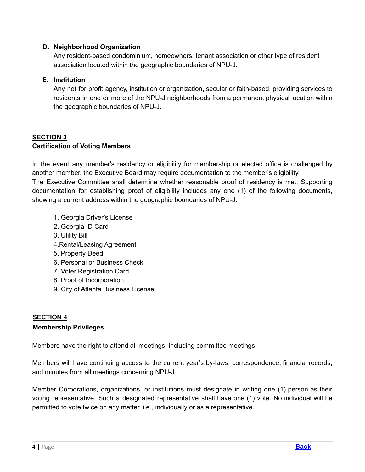### **D. Neighborhood Organization**

Any resident-based condominium, homeowners, tenant association or other type of resident association located within the geographic boundaries of NPU-J.

### **E. Institution**

Any not for profit agency, institution or organization, secular or faith-based, providing services to residents in one or more of the NPU-J neighborhoods from a permanent physical location within the geographic boundaries of NPU-J.

### **SECTION 3 Certification of Voting Members**

In the event any member's residency or eligibility for membership or elected office is challenged by another member, the Executive Board may require documentation to the member's eligibility.

The Executive Committee shall determine whether reasonable proof of residency is met. Supporting documentation for establishing proof of eligibility includes any one (1) of the following documents, showing a current address within the geographic boundaries of NPU-J:

- 1. Georgia Driver's License
- 2. Georgia ID Card
- 3. Utility Bill
- 4.Rental/Leasing Agreement
- 5. Property Deed
- 6. Personal or Business Check
- 7. Voter Registration Card
- 8. Proof of Incorporation
- 9. City of Atlanta Business License

### **SECTION 4**

### **Membership Privileges**

Members have the right to attend all meetings, including committee meetings.

Members will have continuing access to the current year's by-laws, correspondence, financial records, and minutes from all meetings concerning NPU-J.

Member Corporations, organizations, or institutions must designate in writing one (1) person as their voting representative. Such a designated representative shall have one (1) vote. No individual will be permitted to vote twice on any matter, i.e., individually or as a representative.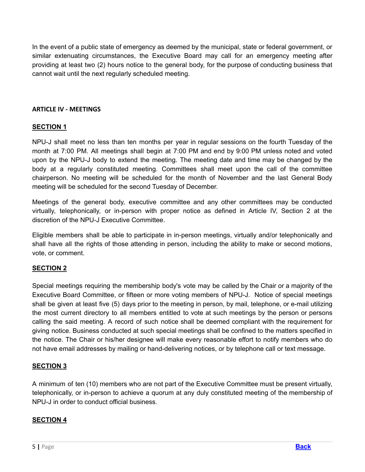In the event of a public state of emergency as deemed by the municipal, state or federal government, or similar extenuating circumstances, the Executive Board may call for an emergency meeting after providing at least two (2) hours notice to the general body, for the purpose of conducting business that cannot wait until the next regularly scheduled meeting.

### <span id="page-5-0"></span>**ARTICLE IV - MEETINGS**

### **SECTION 1**

NPU-J shall meet no less than ten months per year in regular sessions on the fourth Tuesday of the month at 7:00 PM. All meetings shall begin at 7:00 PM and end by 9:00 PM unless noted and voted upon by the NPU-J body to extend the meeting. The meeting date and time may be changed by the body at a regularly constituted meeting. Committees shall meet upon the call of the committee chairperson. No meeting will be scheduled for the month of November and the last General Body meeting will be scheduled for the second Tuesday of December.

Meetings of the general body, executive committee and any other committees may be conducted virtually, telephonically, or in-person with proper notice as defined in Article IV, Section 2 at the discretion of the NPU-J Executive Committee.

Eligible members shall be able to participate in in-person meetings, virtually and/or telephonically and shall have all the rights of those attending in person, including the ability to make or second motions, vote, or comment.

### **SECTION 2**

Special meetings requiring the membership body's vote may be called by the Chair or a majority of the Executive Board Committee, or fifteen or more voting members of NPU-J. Notice of special meetings shall be given at least five (5) days prior to the meeting in person, by mail, telephone, or e-mail utilizing the most current directory to all members entitled to vote at such meetings by the person or persons calling the said meeting. A record of such notice shall be deemed compliant with the requirement for giving notice. Business conducted at such special meetings shall be confined to the matters specified in the notice. The Chair or his/her designee will make every reasonable effort to notify members who do not have email addresses by mailing or hand-delivering notices, or by telephone call or text message.

### **SECTION 3**

A minimum of ten (10) members who are not part of the Executive Committee must be present virtually, telephonically, or in-person to achieve a quorum at any duly constituted meeting of the membership of NPU-J in order to conduct official business.

### **SECTION 4**

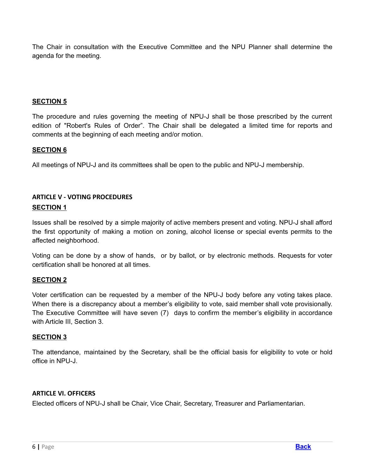The Chair in consultation with the Executive Committee and the NPU Planner shall determine the agenda for the meeting.

### **SECTION 5**

The procedure and rules governing the meeting of NPU-J shall be those prescribed by the current edition of "Robert's Rules of Order". The Chair shall be delegated a limited time for reports and comments at the beginning of each meeting and/or motion.

### **SECTION 6**

All meetings of NPU-J and its committees shall be open to the public and NPU-J membership.

### <span id="page-6-0"></span>**ARTICLE V - VOTING PROCEDURES SECTION 1**

Issues shall be resolved by a simple majority of active members present and voting. NPU-J shall afford the first opportunity of making a motion on zoning, alcohol license or special events permits to the affected neighborhood.

Voting can be done by a show of hands, or by ballot, or by electronic methods. Requests for voter certification shall be honored at all times.

### **SECTION 2**

Voter certification can be requested by a member of the NPU-J body before any voting takes place. When there is a discrepancy about a member's eligibility to vote, said member shall vote provisionally. The Executive Committee will have seven (7) days to confirm the member's eligibility in accordance with Article III, Section 3.

### **SECTION 3**

The attendance, maintained by the Secretary, shall be the official basis for eligibility to vote or hold office in NPU-J.

### <span id="page-6-1"></span>**ARTICLE VI. OFFICERS**

Elected officers of NPU-J shall be Chair, Vice Chair, Secretary, Treasurer and Parliamentarian.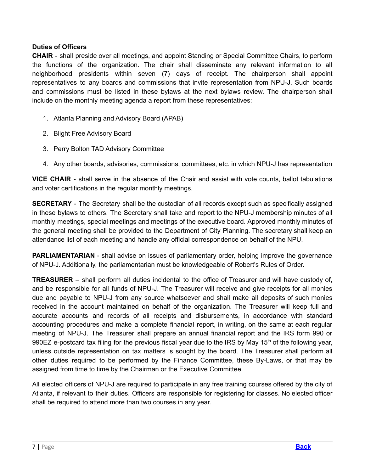### **Duties of Officers**

**CHAIR** - shall preside over all meetings, and appoint Standing or Special Committee Chairs, to perform the functions of the organization. The chair shall disseminate any relevant information to all neighborhood presidents within seven (7) days of receipt. The chairperson shall appoint representatives to any boards and commissions that invite representation from NPU-J. Such boards and commissions must be listed in these bylaws at the next bylaws review. The chairperson shall include on the monthly meeting agenda a report from these representatives:

- 1. Atlanta Planning and Advisory Board (APAB)
- 2. Blight Free Advisory Board
- 3. Perry Bolton TAD Advisory Committee
- 4. Any other boards, advisories, commissions, committees, etc. in which NPU-J has representation

**VICE CHAIR** - shall serve in the absence of the Chair and assist with vote counts, ballot tabulations and voter certifications in the regular monthly meetings.

**SECRETARY** - The Secretary shall be the custodian of all records except such as specifically assigned in these bylaws to others. The Secretary shall take and report to the NPU-J membership minutes of all monthly meetings, special meetings and meetings of the executive board. Approved monthly minutes of the general meeting shall be provided to the Department of City Planning. The secretary shall keep an attendance list of each meeting and handle any official correspondence on behalf of the NPU.

**PARLIAMENTARIAN** - shall advise on issues of parliamentary order, helping improve the governance of NPU-J. Additionally, the parliamentarian must be knowledgeable of Robert's Rules of Order.

**TREASURER** – shall perform all duties incidental to the office of Treasurer and will have custody of, and be responsible for all funds of NPU-J. The Treasurer will receive and give receipts for all monies due and payable to NPU-J from any source whatsoever and shall make all deposits of such monies received in the account maintained on behalf of the organization. The Treasurer will keep full and accurate accounts and records of all receipts and disbursements, in accordance with standard accounting procedures and make a complete financial report, in writing, on the same at each regular meeting of NPU-J. The Treasurer shall prepare an annual financial report and the IRS form 990 or 990EZ e-postcard tax filing for the previous fiscal year due to the IRS by May 15<sup>th</sup> of the following year, unless outside representation on tax matters is sought by the board. The Treasurer shall perform all other duties required to be performed by the Finance Committee, these By-Laws, or that may be assigned from time to time by the Chairman or the Executive Committee.

All elected officers of NPU-J are required to participate in any free training courses offered by the city of Atlanta, if relevant to their duties. Officers are responsible for registering for classes. No elected officer shall be required to attend more than two courses in any year.

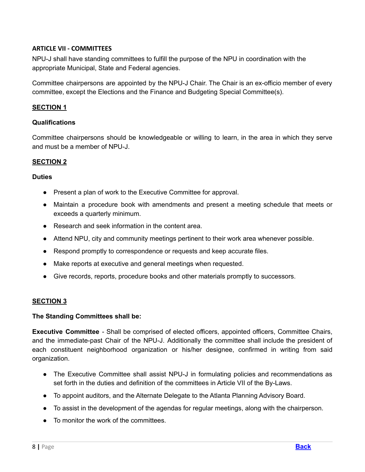### <span id="page-8-0"></span>**ARTICLE VII - COMMITTEES**

NPU-J shall have standing committees to fulfill the purpose of the NPU in coordination with the appropriate Municipal, State and Federal agencies.

Committee chairpersons are appointed by the NPU-J Chair. The Chair is an ex-officio member of every committee, except the Elections and the Finance and Budgeting Special Committee(s).

### **SECTION 1**

### **Qualifications**

Committee chairpersons should be knowledgeable or willing to learn, in the area in which they serve and must be a member of NPU-J.

### **SECTION 2**

### **Duties**

- Present a plan of work to the Executive Committee for approval.
- Maintain a procedure book with amendments and present a meeting schedule that meets or exceeds a quarterly minimum.
- Research and seek information in the content area.
- Attend NPU, city and community meetings pertinent to their work area whenever possible.
- Respond promptly to correspondence or requests and keep accurate files.
- Make reports at executive and general meetings when requested.
- Give records, reports, procedure books and other materials promptly to successors.

### **SECTION 3**

### **The Standing Committees shall be:**

**Executive Committee** - Shall be comprised of elected officers, appointed officers, Committee Chairs, and the immediate-past Chair of the NPU-J. Additionally the committee shall include the president of each constituent neighborhood organization or his/her designee, confirmed in writing from said organization.

- **●** The Executive Committee shall assist NPU-J in formulating policies and recommendations as set forth in the duties and definition of the committees in Article VII of the By-Laws.
- **●** To appoint auditors, and the Alternate Delegate to the Atlanta Planning Advisory Board.
- **●** To assist in the development of the agendas for regular meetings, along with the chairperson.
- **●** To monitor the work of the committees.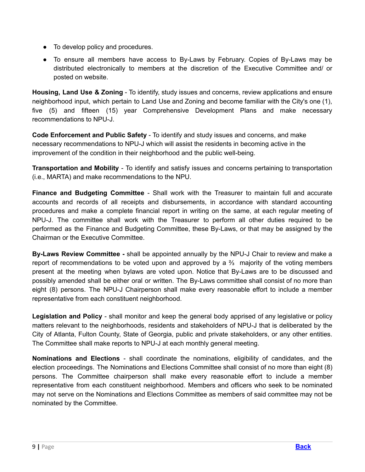- **●** To develop policy and procedures.
- **●** To ensure all members have access to By-Laws by February. Copies of By-Laws may be distributed electronically to members at the discretion of the Executive Committee and/ or posted on website.

**Housing, Land Use & Zoning** - To identify, study issues and concerns, review applications and ensure neighborhood input, which pertain to Land Use and Zoning and become familiar with the City's one (1), five (5) and fifteen (15) year Comprehensive Development Plans and make necessary recommendations to NPU-J.

**Code Enforcement and Public Safety** - To identify and study issues and concerns, and make necessary recommendations to NPU-J which will assist the residents in becoming active in the improvement of the condition in their neighborhood and the public well-being.

**Transportation and Mobility** - To identify and satisfy issues and concerns pertaining to transportation (i.e., MARTA) and make recommendations to the NPU.

**Finance and Budgeting Committee** - Shall work with the Treasurer to maintain full and accurate accounts and records of all receipts and disbursements, in accordance with standard accounting procedures and make a complete financial report in writing on the same, at each regular meeting of NPU-J. The committee shall work with the Treasurer to perform all other duties required to be performed as the Finance and Budgeting Committee, these By-Laws, or that may be assigned by the Chairman or the Executive Committee.

**By-Laws Review Committee -** shall be appointed annually by the NPU-J Chair to review and make a report of recommendations to be voted upon and approved by a ⅔ majority of the voting members present at the meeting when bylaws are voted upon. Notice that By-Laws are to be discussed and possibly amended shall be either oral or written. The By-Laws committee shall consist of no more than eight (8) persons. The NPU-J Chairperson shall make every reasonable effort to include a member representative from each constituent neighborhood.

**Legislation and Policy** - shall monitor and keep the general body apprised of any legislative or policy matters relevant to the neighborhoods, residents and stakeholders of NPU-J that is deliberated by the City of Atlanta, Fulton County, State of Georgia, public and private stakeholders, or any other entities. The Committee shall make reports to NPU-J at each monthly general meeting.

**Nominations and Elections** - shall coordinate the nominations, eligibility of candidates, and the election proceedings. The Nominations and Elections Committee shall consist of no more than eight (8) persons. The Committee chairperson shall make every reasonable effort to include a member representative from each constituent neighborhood. Members and officers who seek to be nominated may not serve on the Nominations and Elections Committee as members of said committee may not be nominated by the Committee.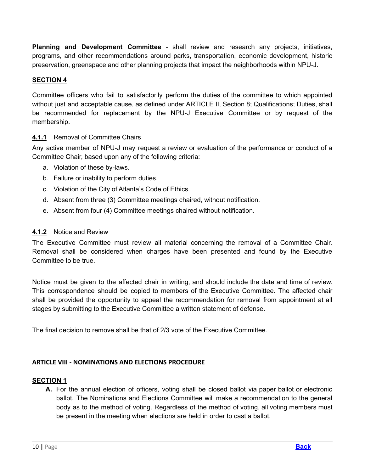**Planning and Development Committee** - shall review and research any projects, initiatives, programs, and other recommendations around parks, transportation, economic development, historic preservation, greenspace and other planning projects that impact the neighborhoods within NPU-J.

### **SECTION 4**

Committee officers who fail to satisfactorily perform the duties of the committee to which appointed without just and acceptable cause, as defined under ARTICLE II, Section 8; Qualifications; Duties, shall be recommended for replacement by the NPU-J Executive Committee or by request of the membership.

### **4.1.1** Removal of Committee Chairs

Any active member of NPU-J may request a review or evaluation of the performance or conduct of a Committee Chair, based upon any of the following criteria:

- a. Violation of these by-laws.
- b. Failure or inability to perform duties.
- c. Violation of the City of Atlanta's Code of Ethics.
- d. Absent from three (3) Committee meetings chaired, without notification.
- e. Absent from four (4) Committee meetings chaired without notification.

### **4.1.2** Notice and Review

The Executive Committee must review all material concerning the removal of a Committee Chair. Removal shall be considered when charges have been presented and found by the Executive Committee to be true.

Notice must be given to the affected chair in writing, and should include the date and time of review. This correspondence should be copied to members of the Executive Committee. The affected chair shall be provided the opportunity to appeal the recommendation for removal from appointment at all stages by submitting to the Executive Committee a written statement of defense.

The final decision to remove shall be that of 2/3 vote of the Executive Committee.

### <span id="page-10-0"></span>**ARTICLE VIII - NOMINATIONS AND ELECTIONS PROCEDURE**

### **SECTION 1**

**A.** For the annual election of officers, voting shall be closed ballot via paper ballot or electronic ballot. The Nominations and Elections Committee will make a recommendation to the general body as to the method of voting. Regardless of the method of voting, all voting members must be present in the meeting when elections are held in order to cast a ballot.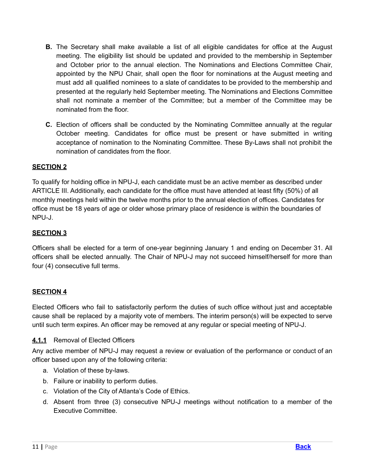- **B.** The Secretary shall make available a list of all eligible candidates for office at the August meeting. The eligibility list should be updated and provided to the membership in September and October prior to the annual election. The Nominations and Elections Committee Chair, appointed by the NPU Chair, shall open the floor for nominations at the August meeting and must add all qualified nominees to a slate of candidates to be provided to the membership and presented at the regularly held September meeting. The Nominations and Elections Committee shall not nominate a member of the Committee; but a member of the Committee may be nominated from the floor.
- **C.** Election of officers shall be conducted by the Nominating Committee annually at the regular October meeting. Candidates for office must be present or have submitted in writing acceptance of nomination to the Nominating Committee. These By-Laws shall not prohibit the nomination of candidates from the floor.

### **SECTION 2**

To qualify for holding office in NPU-J, each candidate must be an active member as described under ARTICLE III. Additionally, each candidate for the office must have attended at least fifty (50%) of all monthly meetings held within the twelve months prior to the annual election of offices. Candidates for office must be 18 years of age or older whose primary place of residence is within the boundaries of NPU-J.

### **SECTION 3**

Officers shall be elected for a term of one-year beginning January 1 and ending on December 31. All officers shall be elected annually. The Chair of NPU-J may not succeed himself/herself for more than four (4) consecutive full terms.

### **SECTION 4**

Elected Officers who fail to satisfactorily perform the duties of such office without just and acceptable cause shall be replaced by a majority vote of members. The interim person(s) will be expected to serve until such term expires. An officer may be removed at any regular or special meeting of NPU-J.

### **4.1.1** Removal of Elected Officers

Any active member of NPU-J may request a review or evaluation of the performance or conduct of an officer based upon any of the following criteria:

- a. Violation of these by-laws.
- b. Failure or inability to perform duties.
- c. Violation of the City of Atlanta's Code of Ethics.
- d. Absent from three (3) consecutive NPU-J meetings without notification to a member of the Executive Committee.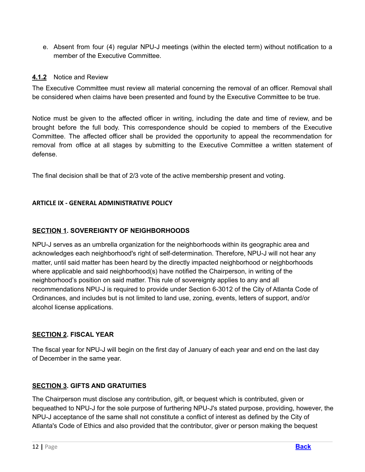e. Absent from four (4) regular NPU-J meetings (within the elected term) without notification to a member of the Executive Committee.

### **4.1.2** Notice and Review

The Executive Committee must review all material concerning the removal of an officer. Removal shall be considered when claims have been presented and found by the Executive Committee to be true.

Notice must be given to the affected officer in writing, including the date and time of review, and be brought before the full body. This correspondence should be copied to members of the Executive Committee. The affected officer shall be provided the opportunity to appeal the recommendation for removal from office at all stages by submitting to the Executive Committee a written statement of defense.

The final decision shall be that of 2/3 vote of the active membership present and voting.

### <span id="page-12-0"></span>**ARTICLE IX - GENERAL ADMINISTRATIVE POLICY**

### **SECTION 1. SOVEREIGNTY OF NEIGHBORHOODS**

NPU-J serves as an umbrella organization for the neighborhoods within its geographic area and acknowledges each neighborhood's right of self-determination. Therefore, NPU-J will not hear any matter, until said matter has been heard by the directly impacted neighborhood or neighborhoods where applicable and said neighborhood(s) have notified the Chairperson, in writing of the neighborhood's position on said matter. This rule of sovereignty applies to any and all recommendations NPU-J is required to provide under Section 6-3012 of the City of Atlanta Code of Ordinances, and includes but is not limited to land use, zoning, events, letters of support, and/or alcohol license applications.

### **SECTION 2. FISCAL YEAR**

The fiscal year for NPU-J will begin on the first day of January of each year and end on the last day of December in the same year.

### **SECTION 3. GIFTS AND GRATUITIES**

The Chairperson must disclose any contribution, gift, or bequest which is contributed, given or bequeathed to NPU-J for the sole purpose of furthering NPU-J's stated purpose, providing, however, the NPU-J acceptance of the same shall not constitute a conflict of interest as defined by the City of Atlanta's Code of Ethics and also provided that the contributor, giver or person making the bequest

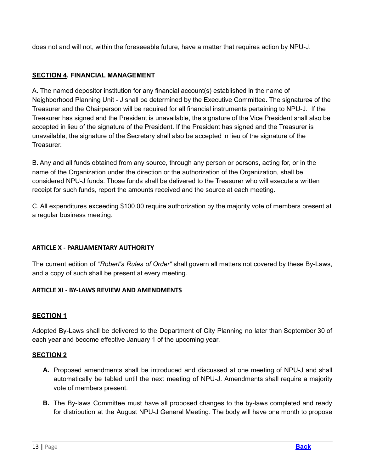does not and will not, within the foreseeable future, have a matter that requires action by NPU-J.

### **SECTION 4. FINANCIAL MANAGEMENT**

A. The named depositor institution for any financial account(s) established in the name of Neighborhood Planning Unit - J shall be determined by the Executive Committee. The signatures of the Treasurer and the Chairperson will be required for all financial instruments pertaining to NPU-J. If the Treasurer has signed and the President is unavailable, the signature of the Vice President shall also be accepted in lieu of the signature of the President. If the President has signed and the Treasurer is unavailable, the signature of the Secretary shall also be accepted in lieu of the signature of the Treasurer.

B. Any and all funds obtained from any source, through any person or persons, acting for, or in the name of the Organization under the direction or the authorization of the Organization, shall be considered NPU-J funds. Those funds shall be delivered to the Treasurer who will execute a written receipt for such funds, report the amounts received and the source at each meeting.

C. All expenditures exceeding \$100.00 require authorization by the majority vote of members present at a regular business meeting.

### <span id="page-13-0"></span>**ARTICLE X - PARLIAMENTARY AUTHORITY**

The current edition of *"Robert's Rules of Order"* shall govern all matters not covered by these By-Laws, and a copy of such shall be present at every meeting.

### <span id="page-13-1"></span>**ARTICLE XI - BY-LAWS REVIEW AND AMENDMENTS**

### **SECTION 1**

Adopted By-Laws shall be delivered to the Department of City Planning no later than September 30 of each year and become effective January 1 of the upcoming year.

### **SECTION 2**

- **A.** Proposed amendments shall be introduced and discussed at one meeting of NPU-J and shall automatically be tabled until the next meeting of NPU-J. Amendments shall require a majority vote of members present.
- **B.** The By-laws Committee must have all proposed changes to the by-laws completed and ready for distribution at the August NPU-J General Meeting. The body will have one month to propose

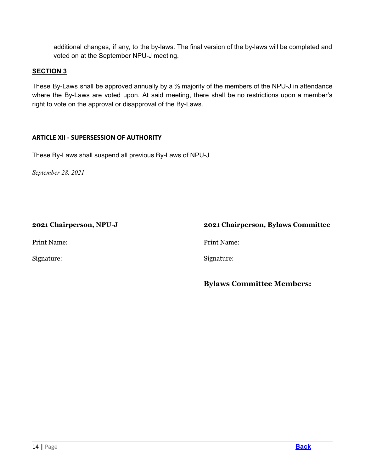additional changes, if any, to the by-laws. The final version of the by-laws will be completed and voted on at the September NPU-J meeting.

### **SECTION 3**

These By-Laws shall be approved annually by a ⅔ majority of the members of the NPU-J in attendance where the By-Laws are voted upon. At said meeting, there shall be no restrictions upon a member's right to vote on the approval or disapproval of the By-Laws.

### <span id="page-14-0"></span>**ARTICLE XII - SUPERSESSION OF AUTHORITY**

These By-Laws shall suspend all previous By-Laws of NPU-J

*September 28, 2021*

Print Name: Print Name:

Signature: Signature: Signature: Signature: Signature: Signature: Signature: Signature: Signature: Signature: Signature: Signature: Signature: Signature: Signature: Signature: Signature: Signature: Signature: Signature: Si

### **2021 Chairperson, NPU-J 2021 Chairperson, Bylaws Committee**

### **Bylaws Committee Members:**

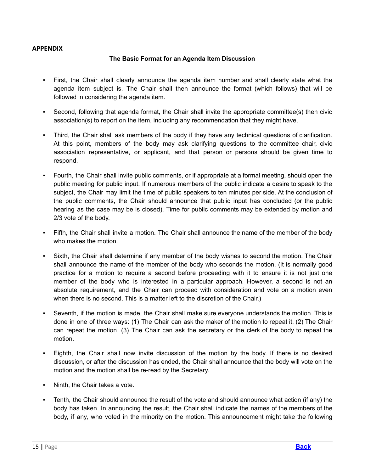### <span id="page-15-0"></span>**APPENDIX**

### **The Basic Format for an Agenda Item Discussion**

- First, the Chair shall clearly announce the agenda item number and shall clearly state what the agenda item subject is. The Chair shall then announce the format (which follows) that will be followed in considering the agenda item.
- Second, following that agenda format, the Chair shall invite the appropriate committee(s) then civic association(s) to report on the item, including any recommendation that they might have.
- Third, the Chair shall ask members of the body if they have any technical questions of clarification. At this point, members of the body may ask clarifying questions to the committee chair, civic association representative, or applicant, and that person or persons should be given time to respond.
- Fourth, the Chair shall invite public comments, or if appropriate at a formal meeting, should open the public meeting for public input. If numerous members of the public indicate a desire to speak to the subject, the Chair may limit the time of public speakers to ten minutes per side. At the conclusion of the public comments, the Chair should announce that public input has concluded (or the public hearing as the case may be is closed). Time for public comments may be extended by motion and 2/3 vote of the body.
- Fifth, the Chair shall invite a motion. The Chair shall announce the name of the member of the body who makes the motion
- Sixth, the Chair shall determine if any member of the body wishes to second the motion. The Chair shall announce the name of the member of the body who seconds the motion. (It is normally good practice for a motion to require a second before proceeding with it to ensure it is not just one member of the body who is interested in a particular approach. However, a second is not an absolute requirement, and the Chair can proceed with consideration and vote on a motion even when there is no second. This is a matter left to the discretion of the Chair.)
- Seventh, if the motion is made, the Chair shall make sure everyone understands the motion. This is done in one of three ways: (1) The Chair can ask the maker of the motion to repeat it. (2) The Chair can repeat the motion. (3) The Chair can ask the secretary or the clerk of the body to repeat the motion.
- Eighth, the Chair shall now invite discussion of the motion by the body. If there is no desired discussion, or after the discussion has ended, the Chair shall announce that the body will vote on the motion and the motion shall be re-read by the Secretary.
- Ninth, the Chair takes a vote.
- Tenth, the Chair should announce the result of the vote and should announce what action (if any) the body has taken. In announcing the result, the Chair shall indicate the names of the members of the body, if any, who voted in the minority on the motion. This announcement might take the following

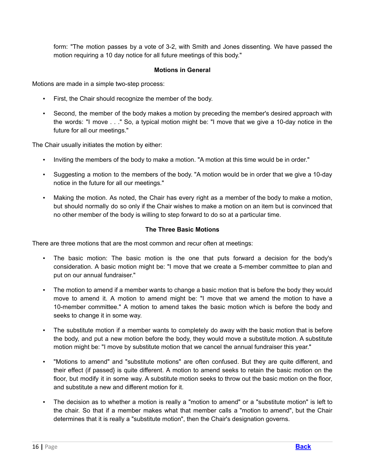form: "The motion passes by a vote of 3-2, with Smith and Jones dissenting. We have passed the motion requiring a 10 day notice for all future meetings of this body."

### **Motions in General**

Motions are made in a simple two-step process:

- First, the Chair should recognize the member of the body.
- Second, the member of the body makes a motion by preceding the member's desired approach with the words: "I move . . ." So, a typical motion might be: "I move that we give a 10-day notice in the future for all our meetings."

The Chair usually initiates the motion by either:

- Inviting the members of the body to make a motion. "A motion at this time would be in order."
- Suggesting a motion to the members of the body. "A motion would be in order that we give a 10-day notice in the future for all our meetings."
- Making the motion. As noted, the Chair has every right as a member of the body to make a motion, but should normally do so only if the Chair wishes to make a motion on an item but is convinced that no other member of the body is willing to step forward to do so at a particular time.

### **The Three Basic Motions**

There are three motions that are the most common and recur often at meetings:

- The basic motion: The basic motion is the one that puts forward a decision for the body's consideration. A basic motion might be: "I move that we create a 5-member committee to plan and put on our annual fundraiser."
- The motion to amend if a member wants to change a basic motion that is before the body they would move to amend it. A motion to amend might be: "I move that we amend the motion to have a 10-member committee." A motion to amend takes the basic motion which is before the body and seeks to change it in some way.
- The substitute motion if a member wants to completely do away with the basic motion that is before the body, and put a new motion before the body, they would move a substitute motion. A substitute motion might be: "I move by substitute motion that we cancel the annual fundraiser this year."
- "Motions to amend" and "substitute motions" are often confused. But they are quite different, and their effect (if passed} is quite different. A motion to amend seeks to retain the basic motion on the floor, but modify it in some way. A substitute motion seeks to throw out the basic motion on the floor, and substitute a new and different motion for it.
- The decision as to whether a motion is really a "motion to amend" or a "substitute motion" is left to the chair. So that if a member makes what that member calls a "motion to amend", but the Chair determines that it is really a "substitute motion", then the Chair's designation governs.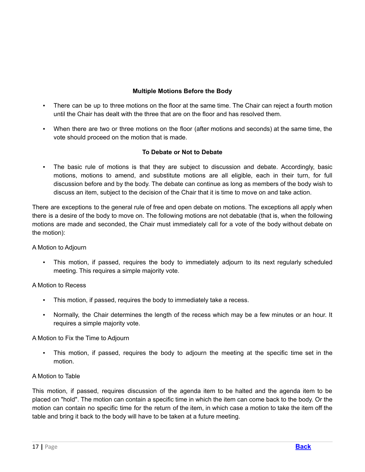### **Multiple Motions Before the Body**

- There can be up to three motions on the floor at the same time. The Chair can reject a fourth motion until the Chair has dealt with the three that are on the floor and has resolved them.
- When there are two or three motions on the floor (after motions and seconds) at the same time, the vote should proceed on the motion that is made.

### **To Debate or Not to Debate**

• The basic rule of motions is that they are subject to discussion and debate. Accordingly, basic motions, motions to amend, and substitute motions are all eligible, each in their turn, for full discussion before and by the body. The debate can continue as long as members of the body wish to discuss an item, subject to the decision of the Chair that it is time to move on and take action.

There are exceptions to the general rule of free and open debate on motions. The exceptions all apply when there is a desire of the body to move on. The following motions are not debatable (that is, when the following motions are made and seconded, the Chair must immediately call for a vote of the body without debate on the motion):

### A Motion to Adjourn

This motion, if passed, requires the body to immediately adjourn to its next regularly scheduled meeting. This requires a simple majority vote.

### A Motion to Recess

- This motion, if passed, requires the body to immediately take a recess.
- Normally, the Chair determines the length of the recess which may be a few minutes or an hour. It requires a simple majority vote.

### A Motion to Fix the Time to Adjourn

▪ This motion, if passed, requires the body to adjourn the meeting at the specific time set in the motion.

### A Motion to Table

This motion, if passed, requires discussion of the agenda item to be halted and the agenda item to be placed on "hold". The motion can contain a specific time in which the item can come back to the body. Or the motion can contain no specific time for the return of the item, in which case a motion to take the item off the table and bring it back to the body will have to be taken at a future meeting.

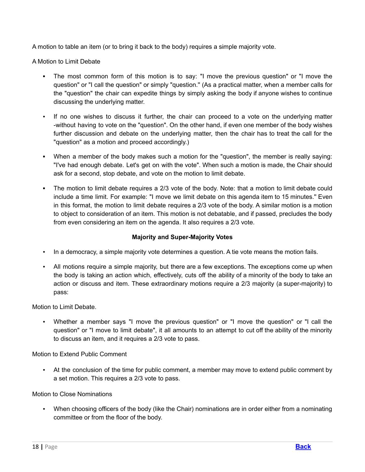A motion to table an item (or to bring it back to the body) requires a simple majority vote.

A Motion to Limit Debate

- The most common form of this motion is to say: "I move the previous question" or "I move the question" or "I call the question" or simply "question.'' (As a practical matter, when a member calls for the "question" the chair can expedite things by simply asking the body if anyone wishes to continue discussing the underlying matter.
- If no one wishes to discuss it further, the chair can proceed to a vote on the underlying matter -without having to vote on the "question". On the other hand, if even one member of the body wishes further discussion and debate on the underlying matter, then the chair has to treat the call for the "question" as a motion and proceed accordingly.)
- **▪** When a member of the body makes such a motion for the "question", the member is really saying: "I've had enough debate. Let's get on with the vote". When such a motion is made, the Chair should ask for a second, stop debate, and vote on the motion to limit debate.
- **▪** The motion to limit debate requires a 2/3 vote of the body. Note: that a motion to limit debate could include a time limit. For example: "I move we limit debate on this agenda item to 15 minutes.'' Even in this format, the motion to limit debate requires a 2/3 vote of the body. A similar motion is a motion to object to consideration of an item. This motion is not debatable, and if passed, precludes the body from even considering an item on the agenda. It also requires a 2/3 vote.

### **Majority and Super-Majority Votes**

- In a democracy, a simple majority vote determines a question. A tie vote means the motion fails.
- All motions require a simple majority, but there are a few exceptions. The exceptions come up when the body is taking an action which, effectively, cuts off the ability of a minority of the body to take an action or discuss and item. These extraordinary motions require a 2/3 majority (a super-majority) to pass:

Motion to Limit Debate.

▪ Whether a member says "I move the previous question" or "I move the question" or "I call the question" or "I move to limit debate", it all amounts to an attempt to cut off the ability of the minority to discuss an item, and it requires a 2/3 vote to pass.

Motion to Extend Public Comment

▪ At the conclusion of the time for public comment, a member may move to extend public comment by a set motion. This requires a 2/3 vote to pass.

### Motion to Close Nominations

▪ When choosing officers of the body (like the Chair) nominations are in order either from a nominating committee or from the floor of the body.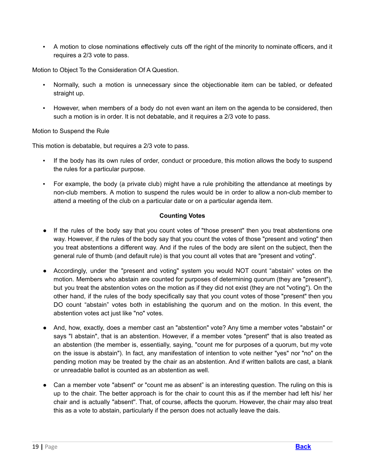▪ A motion to close nominations effectively cuts off the right of the minority to nominate officers, and it requires a 2/3 vote to pass.

Motion to Object To the Consideration Of A Question.

- Normally, such a motion is unnecessary since the objectionable item can be tabled, or defeated straight up.
- **•** However, when members of a body do not even want an item on the agenda to be considered, then such a motion is in order. It is not debatable, and it requires a 2/3 vote to pass.

Motion to Suspend the Rule

This motion is debatable, but requires a 2/3 vote to pass.

- If the body has its own rules of order, conduct or procedure, this motion allows the body to suspend the rules for a particular purpose.
- For example, the body (a private club) might have a rule prohibiting the attendance at meetings by non-club members. A motion to suspend the rules would be in order to allow a non-club member to attend a meeting of the club on a particular date or on a particular agenda item.

### **Counting Votes**

- If the rules of the body say that you count votes of "those present" then you treat abstentions one way. However, if the rules of the body say that you count the votes of those "present and voting" then you treat abstentions a different way. And if the rules of the body are silent on the subject, then the general rule of thumb (and default rule) is that you count all votes that are "present and voting".
- Accordingly, under the "present and voting" system you would NOT count "abstain" votes on the motion. Members who abstain are counted for purposes of determining quorum (they are "present"), but you treat the abstention votes on the motion as if they did not exist (they are not "voting"). On the other hand, if the rules of the body specifically say that you count votes of those "present" then you DO count "abstain" votes both in establishing the quorum and on the motion. In this event, the abstention votes act just like "no" votes.
- And, how, exactly, does a member cast an "abstention" vote? Any time a member votes "abstain" or says "I abstain", that is an abstention. However, if a member votes "present" that is also treated as an abstention (the member is, essentially, saying, "count me for purposes of a quorum, but my vote on the issue is abstain"). In fact, any manifestation of intention to vote neither "yes" nor "no" on the pending motion may be treated by the chair as an abstention. And if written ballots are cast, a blank or unreadable ballot is counted as an abstention as well.
- Can a member vote "absent" or "count me as absent" is an interesting question. The ruling on this is up to the chair. The better approach is for the chair to count this as if the member had left his/ her chair and is actually "absent''. That, of course, affects the quorum. However, the chair may also treat this as a vote to abstain, particularly if the person does not actually leave the dais.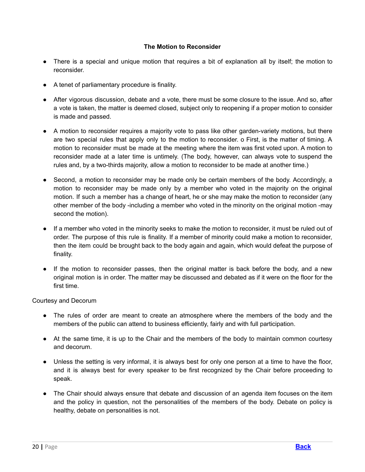### **The Motion to Reconsider**

- There is a special and unique motion that requires a bit of explanation all by itself; the motion to reconsider.
- A tenet of parliamentary procedure is finality.
- After vigorous discussion, debate and a vote, there must be some closure to the issue. And so, after a vote is taken, the matter is deemed closed, subject only to reopening if a proper motion to consider is made and passed.
- A motion to reconsider requires a majority vote to pass like other garden-variety motions, but there are two special rules that apply only to the motion to reconsider. o First, is the matter of timing. A motion to reconsider must be made at the meeting where the item was first voted upon. A motion to reconsider made at a later time is untimely. (The body, however, can always vote to suspend the rules and, by a two-thirds majority, allow a motion to reconsider to be made at another time.)
- Second, a motion to reconsider may be made only be certain members of the body. Accordingly, a motion to reconsider may be made only by a member who voted in the majority on the original motion. If such a member has a change of heart, he or she may make the motion to reconsider (any other member of the body -including a member who voted in the minority on the original motion -may second the motion).
- If a member who voted in the minority seeks to make the motion to reconsider, it must be ruled out of order. The purpose of this rule is finality. If a member of minority could make a motion to reconsider, then the item could be brought back to the body again and again, which would defeat the purpose of finality.
- If the motion to reconsider passes, then the original matter is back before the body, and a new original motion is in order. The matter may be discussed and debated as if it were on the floor for the first time.

### Courtesy and Decorum

- The rules of order are meant to create an atmosphere where the members of the body and the members of the public can attend to business efficiently, fairly and with full participation.
- At the same time, it is up to the Chair and the members of the body to maintain common courtesy and decorum.
- Unless the setting is very informal, it is always best for only one person at a time to have the floor, and it is always best for every speaker to be first recognized by the Chair before proceeding to speak.
- The Chair should always ensure that debate and discussion of an agenda item focuses on the item and the policy in question, not the personalities of the members of the body. Debate on policy is healthy, debate on personalities is not.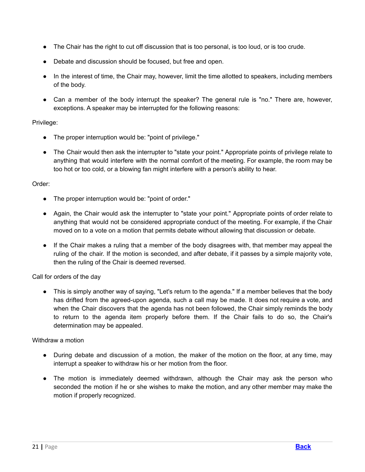- The Chair has the right to cut off discussion that is too personal, is too loud, or is too crude.
- Debate and discussion should be focused, but free and open.
- In the interest of time, the Chair may, however, limit the time allotted to speakers, including members of the body.
- Can a member of the body interrupt the speaker? The general rule is "no." There are, however, exceptions. A speaker may be interrupted for the following reasons:

### Privilege:

- The proper interruption would be: "point of privilege."
- The Chair would then ask the interrupter to "state your point." Appropriate points of privilege relate to anything that would interfere with the normal comfort of the meeting. For example, the room may be too hot or too cold, or a blowing fan might interfere with a person's ability to hear.

### Order:

- The proper interruption would be: "point of order."
- Again, the Chair would ask the interrupter to "state your point." Appropriate points of order relate to anything that would not be considered appropriate conduct of the meeting. For example, if the Chair moved on to a vote on a motion that permits debate without allowing that discussion or debate.
- If the Chair makes a ruling that a member of the body disagrees with, that member may appeal the ruling of the chair. If the motion is seconded, and after debate, if it passes by a simple majority vote, then the ruling of the Chair is deemed reversed.

### Call for orders of the day

● This is simply another way of saying, "Let's return to the agenda." If a member believes that the body has drifted from the agreed-upon agenda, such a call may be made. It does not require a vote, and when the Chair discovers that the agenda has not been followed, the Chair simply reminds the body to return to the agenda item properly before them. If the Chair fails to do so, the Chair's determination may be appealed.

### Withdraw a motion

- During debate and discussion of a motion, the maker of the motion on the floor, at any time, may interrupt a speaker to withdraw his or her motion from the floor.
- The motion is immediately deemed withdrawn, although the Chair may ask the person who seconded the motion if he or she wishes to make the motion, and any other member may make the motion if properly recognized.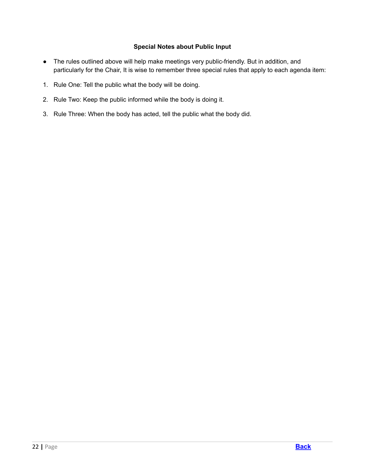### **Special Notes about Public Input**

- The rules outlined above will help make meetings very public-friendly. But in addition, and particularly for the Chair, It is wise to remember three special rules that apply to each agenda item:
- 1. Rule One: Tell the public what the body will be doing.
- 2. Rule Two: Keep the public informed while the body is doing it.
- 3. Rule Three: When the body has acted, tell the public what the body did.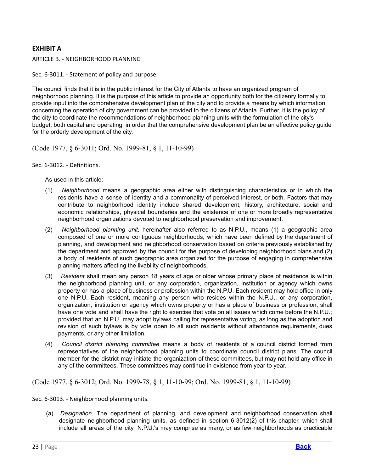### <span id="page-23-0"></span>**EXHIBIT A**

ARTICLE B. - NEIGHBORHOOD PLANNING

Sec. 6-3011. - Statement of policy and purpose.

The council finds that it is in the public interest for the City of Atlanta to have an organized program of neighborhood planning. It is the purpose of this article to provide an opportunity both for the citizenry formally to provide input into the comprehensive development plan of the city and to provide a means by which information concerning the operation of city government can be provided to the citizens of Atlanta. Further, it is the policy of the city to coordinate the recommendations of neighborhood planning units with the formulation of the city's budget, both capital and operating, in order that the comprehensive development plan be an effective policy guide for the orderly development of the city.

(Code 1977, § 6-3011; Ord. No. 1999-81, § 1, 11-10-99)

Sec. 6-3012. - Definitions.

As used in this article:

- (1) *Neighborhood* means a geographic area either with distinguishing characteristics or in which the residents have a sense of identity and a commonality of perceived interest, or both. Factors that may contribute to neighborhood identity include shared development, history, architecture, social and economic relationships, physical boundaries and the existence of one or more broadly representative neighborhood organizations devoted to neighborhood preservation and improvement.
- (2) *Neighborhood planning unit,* hereinafter also referred to as N.P.U., means (1) a geographic area composed of one or more contiguous neighborhoods, which have been defined by the department of planning, and development and neighborhood conservation based on criteria previously established by the department and approved by the council for the purpose of developing neighborhood plans and (2) a body of residents of such geographic area organized for the purpose of engaging in comprehensive planning matters affecting the livability of neighborhoods.
- (3) *Resident* shall mean any person 18 years of age or older whose primary place of residence is within the neighborhood planning unit, or any corporation, organization, institution or agency which owns property or has a place of business or profession within the N.P.U. Each resident may hold office in only one N.P.U. Each resident, meaning any person who resides within the N.P.U., or any corporation, organization, institution or agency which owns property or has a place of business or profession, shall have one vote and shall have the right to exercise that vote on all issues which come before the N.P.U.; provided that an N.P.U. may adopt bylaws calling for representative voting, as long as the adoption and revision of such bylaws is by vote open to all such residents without attendance requirements, dues payments, or any other limitation.
- (4) *Council district planning committee* means a body of residents of a council district formed from representatives of the neighborhood planning units to coordinate council district plans. The council member for the district may initiate the organization of these committees, but may not hold any office in any of the committees. These committees may continue in existence from year to year.

(Code 1977, § 6-3012; Ord. No. 1999-78, § 1, 11-10-99; Ord. No. 1999-81, § 1, 11-10-99)

Sec. 6-3013. - Neighborhood planning units.

(a) *Designation.* The department of planning, and development and neighborhood conservation shall designate neighborhood planning units, as defined in section 6-3012(2) of this chapter, which shall include all areas of the city. N.P.U.'s may comprise as many, or as few neighborhoods as practicable

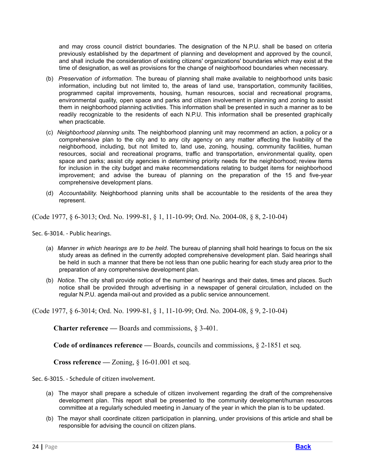and may cross council district boundaries. The designation of the N.P.U. shall be based on criteria previously established by the department of planning and development and approved by the council, and shall include the consideration of existing citizens' organizations' boundaries which may exist at the time of designation, as well as provisions for the change of neighborhood boundaries when necessary.

- (b) *Preservation of information.* The bureau of planning shall make available to neighborhood units basic information, including but not limited to, the areas of land use, transportation, community facilities, programmed capital improvements, housing, human resources, social and recreational programs, environmental quality, open space and parks and citizen involvement in planning and zoning to assist them in neighborhood planning activities. This information shall be presented in such a manner as to be readily recognizable to the residents of each N.P.U. This information shall be presented graphically when practicable.
- (c) *Neighborhood planning units.* The neighborhood planning unit may recommend an action, a policy or a comprehensive plan to the city and to any city agency on any matter affecting the livability of the neighborhood, including, but not limited to, land use, zoning, housing, community facilities, human resources, social and recreational programs, traffic and transportation, environmental quality, open space and parks; assist city agencies in determining priority needs for the neighborhood; review items for inclusion in the city budget and make recommendations relating to budget items for neighborhood improvement; and advise the bureau of planning on the preparation of the 15 and five-year comprehensive development plans.
- (d) *Accountability.* Neighborhood planning units shall be accountable to the residents of the area they represent.

(Code 1977, § 6-3013; Ord. No. 1999-81, § 1, 11-10-99; Ord. No. 2004-08, § 8, 2-10-04)

Sec. 6-3014. - Public hearings.

- (a) *Manner in which hearings are to be held.* The bureau of planning shall hold hearings to focus on the six study areas as defined in the currently adopted comprehensive development plan. Said hearings shall be held in such a manner that there be not less than one public hearing for each study area prior to the preparation of any comprehensive development plan.
- (b) *Notice.* The city shall provide notice of the number of hearings and their dates, times and places. Such notice shall be provided through advertising in a newspaper of general circulation, included on the regular N.P.U. agenda mail-out and provided as a public service announcement.

(Code 1977, § 6-3014; Ord. No. 1999-81, § 1, 11-10-99; Ord. No. 2004-08, § 9, 2-10-04)

**Charter reference —** Boards and commissions, § 3-401.

**Code of ordinances reference —** Boards, councils and commissions, § 2-1851 et seq.

**Cross reference —** Zoning, § 16-01.001 et seq.

Sec. 6-3015. - Schedule of citizen involvement.

- (a) The mayor shall prepare a schedule of citizen involvement regarding the draft of the comprehensive development plan. This report shall be presented to the community development/human resources committee at a regularly scheduled meeting in January of the year in which the plan is to be updated.
- (b) The mayor shall coordinate citizen participation in planning, under provisions of this article and shall be responsible for advising the council on citizen plans.

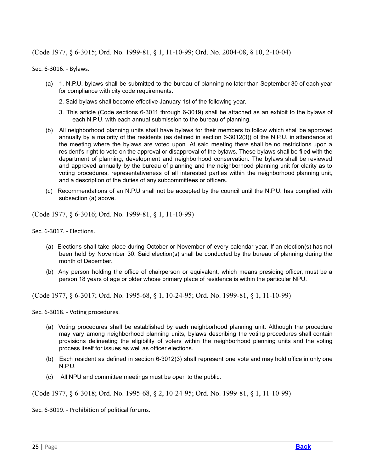(Code 1977, § 6-3015; Ord. No. 1999-81, § 1, 11-10-99; Ord. No. 2004-08, § 10, 2-10-04)

Sec. 6-3016. - Bylaws.

- (a) 1. N.P.U. bylaws shall be submitted to the bureau of planning no later than September 30 of each year for compliance with city code requirements.
	- 2. Said bylaws shall become effective January 1st of the following year.
	- 3. This article (Code sections 6-3011 through 6-3019) shall be attached as an exhibit to the bylaws of each N.P.U. with each annual submission to the bureau of planning.
- (b) All neighborhood planning units shall have bylaws for their members to follow which shall be approved annually by a majority of the residents (as defined in section 6-3012(3)) of the N.P.U. in attendance at the meeting where the bylaws are voted upon. At said meeting there shall be no restrictions upon a resident's right to vote on the approval or disapproval of the bylaws. These bylaws shall be filed with the department of planning, development and neighborhood conservation. The bylaws shall be reviewed and approved annually by the bureau of planning and the neighborhood planning unit for clarity as to voting procedures, representativeness of all interested parties within the neighborhood planning unit, and a description of the duties of any subcommittees or officers.
- (c) Recommendations of an N.P.U shall not be accepted by the council until the N.P.U. has complied with subsection (a) above.

(Code 1977, § 6-3016; Ord. No. 1999-81, § 1, 11-10-99)

Sec. 6-3017. - Elections.

- (a) Elections shall take place during October or November of every calendar year. If an election(s) has not been held by November 30. Said election(s) shall be conducted by the bureau of planning during the month of December.
- (b) Any person holding the office of chairperson or equivalent, which means presiding officer, must be a person 18 years of age or older whose primary place of residence is within the particular NPU.

(Code 1977, § 6-3017; Ord. No. 1995-68, § 1, 10-24-95; Ord. No. 1999-81, § 1, 11-10-99)

Sec. 6-3018. - Voting procedures.

- (a) Voting procedures shall be established by each neighborhood planning unit. Although the procedure may vary among neighborhood planning units, bylaws describing the voting procedures shall contain provisions delineating the eligibility of voters within the neighborhood planning units and the voting process itself for issues as well as officer elections.
- (b) Each resident as defined in section 6-3012(3) shall represent one vote and may hold office in only one N.P.U.
- (c) All NPU and committee meetings must be open to the public.

(Code 1977, § 6-3018; Ord. No. 1995-68, § 2, 10-24-95; Ord. No. 1999-81, § 1, 11-10-99)

Sec. 6-3019. - Prohibition of political forums.